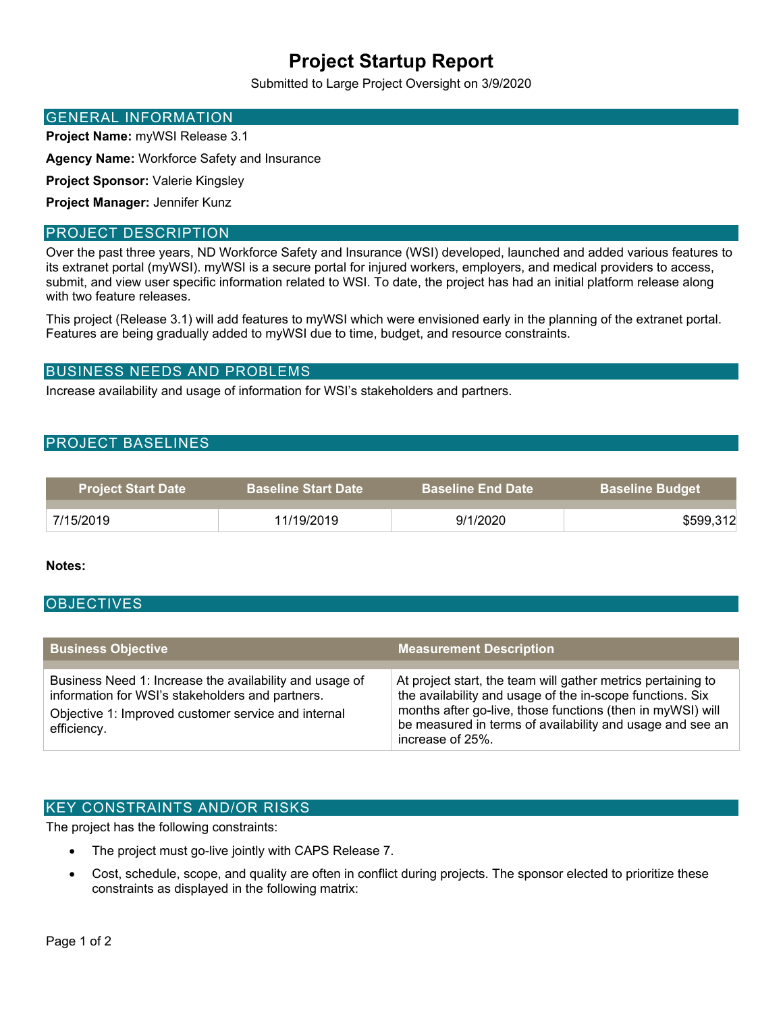# **Project Startup Report**

Submitted to Large Project Oversight on 3/9/2020

#### GENERAL INFORMATION

**Project Name:** myWSI Release 3.1

**Agency Name:** Workforce Safety and Insurance

**Project Sponsor:** Valerie Kingsley

**Project Manager:** Jennifer Kunz

#### PROJECT DESCRIPTION

Over the past three years, ND Workforce Safety and Insurance (WSI) developed, launched and added various features to its extranet portal (myWSI). myWSI is a secure portal for injured workers, employers, and medical providers to access, submit, and view user specific information related to WSI. To date, the project has had an initial platform release along with two feature releases.

This project (Release 3.1) will add features to myWSI which were envisioned early in the planning of the extranet portal. Features are being gradually added to myWSI due to time, budget, and resource constraints.

#### BUSINESS NEEDS AND PROBLEMS

Increase availability and usage of information for WSI's stakeholders and partners.

# PROJECT BASELINES

| <b>Project Start Date</b> | <b>Baseline Start Date</b> | <b>Baseline End Date</b> | <b>Baseline Budget</b> |
|---------------------------|----------------------------|--------------------------|------------------------|
| 7/15/2019                 | 11/19/2019                 | 9/1/2020                 | \$599,312              |

#### **Notes:**

#### **OBJECTIVES**

| <b>Business Objective</b>                                                                                                                                                         | <b>Measurement Description</b>                                                                                                                                                                                                                                           |
|-----------------------------------------------------------------------------------------------------------------------------------------------------------------------------------|--------------------------------------------------------------------------------------------------------------------------------------------------------------------------------------------------------------------------------------------------------------------------|
| Business Need 1: Increase the availability and usage of<br>information for WSI's stakeholders and partners.<br>Objective 1: Improved customer service and internal<br>efficiency. | At project start, the team will gather metrics pertaining to<br>the availability and usage of the in-scope functions. Six<br>months after go-live, those functions (then in myWSI) will<br>be measured in terms of availability and usage and see an<br>increase of 25%. |

### KEY CONSTRAINTS AND/OR RISKS

The project has the following constraints:

- The project must go-live jointly with CAPS Release 7.
- Cost, schedule, scope, and quality are often in conflict during projects. The sponsor elected to prioritize these constraints as displayed in the following matrix: